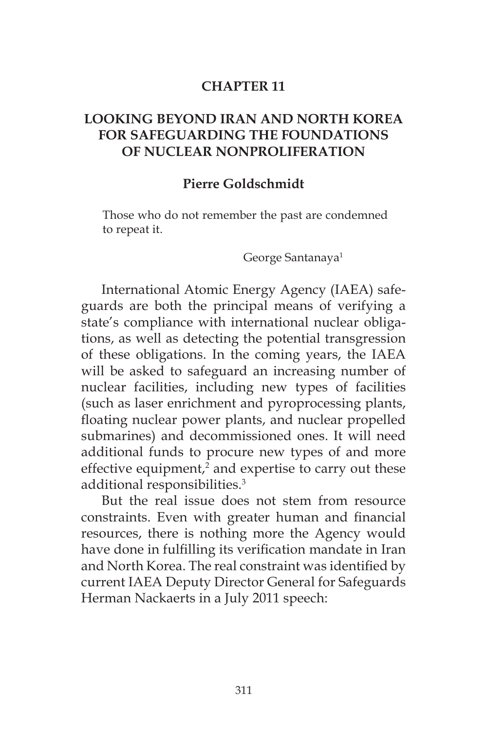#### **CHAPTER 11**

## **LOOKING BEYOND IRAN AND NORTH KOREA FOR SAFEGUARDING THE FOUNDATIONS OF NUCLEAR NONPROLIFERATION**

### **Pierre Goldschmidt**

Those who do not remember the past are condemned to repeat it.

George Santanaya<sup>1</sup>

International Atomic Energy Agency (IAEA) safeguards are both the principal means of verifying a state's compliance with international nuclear obligations, as well as detecting the potential transgression of these obligations. In the coming years, the IAEA will be asked to safeguard an increasing number of nuclear facilities, including new types of facilities (such as laser enrichment and pyroprocessing plants, floating nuclear power plants, and nuclear propelled submarines) and decommissioned ones. It will need additional funds to procure new types of and more effective equipment, $2$  and expertise to carry out these additional responsibilities.3

But the real issue does not stem from resource constraints. Even with greater human and financial resources, there is nothing more the Agency would have done in fulfilling its verification mandate in Iran and North Korea. The real constraint was identified by current IAEA Deputy Director General for Safeguards Herman Nackaerts in a July 2011 speech: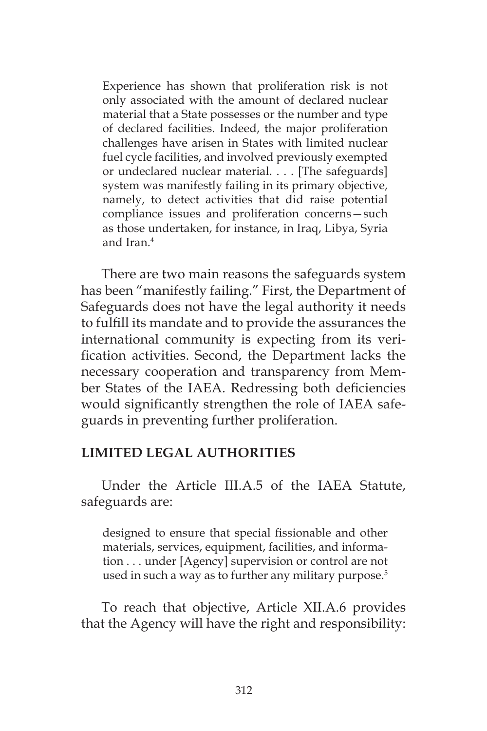Experience has shown that proliferation risk is not only associated with the amount of declared nuclear material that a State possesses or the number and type of declared facilities. Indeed, the major proliferation challenges have arisen in States with limited nuclear fuel cycle facilities, and involved previously exempted or undeclared nuclear material. . . . [The safeguards] system was manifestly failing in its primary objective, namely, to detect activities that did raise potential compliance issues and proliferation concerns—such as those undertaken, for instance, in Iraq, Libya, Syria and Iran.4

There are two main reasons the safeguards system has been "manifestly failing." First, the Department of Safeguards does not have the legal authority it needs to fulfill its mandate and to provide the assurances the international community is expecting from its verification activities. Second, the Department lacks the necessary cooperation and transparency from Member States of the IAEA. Redressing both deficiencies would significantly strengthen the role of IAEA safeguards in preventing further proliferation.

### **LIMITED LEGAL AUTHORITIES**

Under the Article III.A.5 of the IAEA Statute, safeguards are:

designed to ensure that special fissionable and other materials, services, equipment, facilities, and information . . . under [Agency] supervision or control are not used in such a way as to further any military purpose.<sup>5</sup>

To reach that objective, Article XII.A.6 provides that the Agency will have the right and responsibility: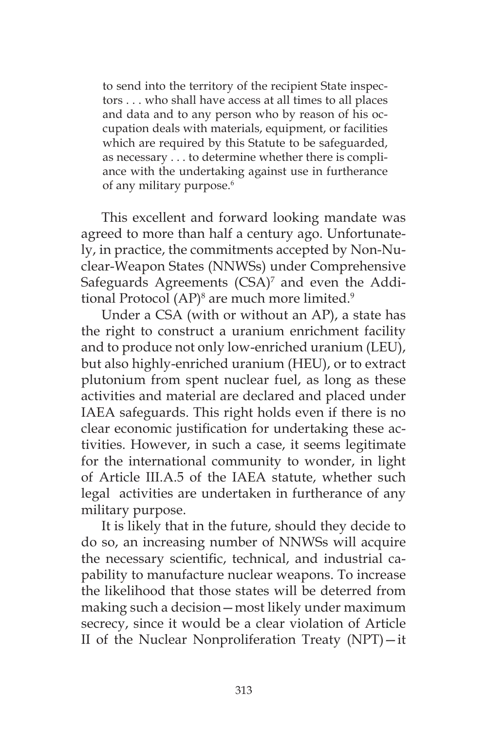to send into the territory of the recipient State inspectors . . . who shall have access at all times to all places and data and to any person who by reason of his occupation deals with materials, equipment, or facilities which are required by this Statute to be safeguarded, as necessary . . . to determine whether there is compliance with the undertaking against use in furtherance of any military purpose.<sup>6</sup>

This excellent and forward looking mandate was agreed to more than half a century ago. Unfortunately, in practice, the commitments accepted by Non-Nuclear-Weapon States (NNWSs) under Comprehensive Safeguards Agreements (CSA)<sup>7</sup> and even the Additional Protocol (AP)<sup>8</sup> are much more limited.<sup>9</sup>

Under a CSA (with or without an AP), a state has the right to construct a uranium enrichment facility and to produce not only low-enriched uranium (LEU), but also highly-enriched uranium (HEU), or to extract plutonium from spent nuclear fuel, as long as these activities and material are declared and placed under IAEA safeguards. This right holds even if there is no clear economic justification for undertaking these activities. However, in such a case, it seems legitimate for the international community to wonder, in light of Article III.A.5 of the IAEA statute, whether such legal activities are undertaken in furtherance of any military purpose.

It is likely that in the future, should they decide to do so, an increasing number of NNWSs will acquire the necessary scientific, technical, and industrial capability to manufacture nuclear weapons. To increase the likelihood that those states will be deterred from making such a decision—most likely under maximum secrecy, since it would be a clear violation of Article II of the Nuclear Nonproliferation Treaty (NPT)—it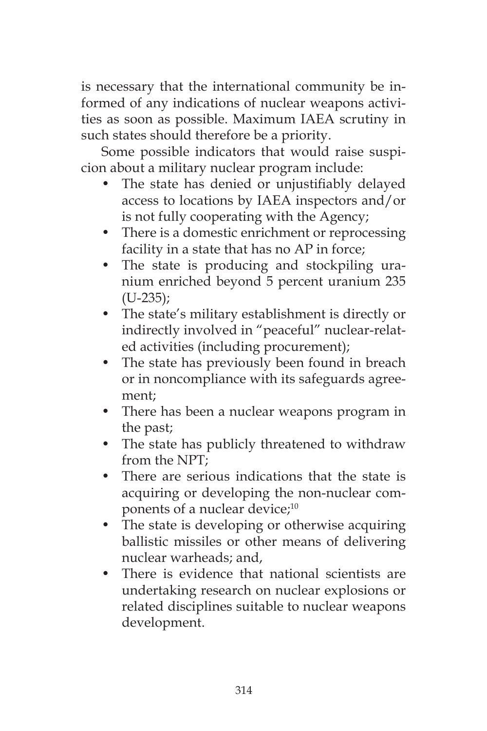is necessary that the international community be informed of any indications of nuclear weapons activities as soon as possible. Maximum IAEA scrutiny in such states should therefore be a priority.

Some possible indicators that would raise suspicion about a military nuclear program include:

- The state has denied or unjustifiably delayed access to locations by IAEA inspectors and/or is not fully cooperating with the Agency;
- There is a domestic enrichment or reprocessing facility in a state that has no AP in force;
- The state is producing and stockpiling uranium enriched beyond 5 percent uranium 235  $(U-235);$
- The state's military establishment is directly or indirectly involved in "peaceful" nuclear-related activities (including procurement);
- The state has previously been found in breach or in noncompliance with its safeguards agreement;
- There has been a nuclear weapons program in the past;
- The state has publicly threatened to withdraw from the NPT;
- There are serious indications that the state is acquiring or developing the non-nuclear components of a nuclear device;<sup>10</sup>
- The state is developing or otherwise acquiring ballistic missiles or other means of delivering nuclear warheads; and,
- There is evidence that national scientists are undertaking research on nuclear explosions or related disciplines suitable to nuclear weapons development.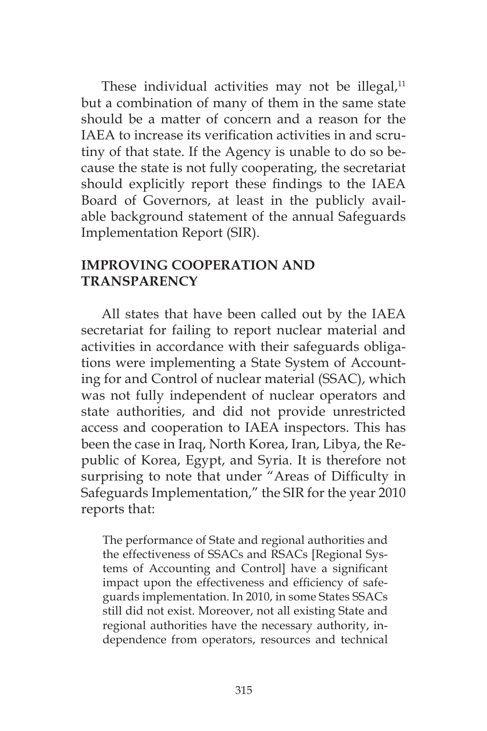These individual activities may not be illegal, $11$ but a combination of many of them in the same state should be a matter of concern and a reason for the IAEA to increase its verification activities in and scrutiny of that state. If the Agency is unable to do so because the state is not fully cooperating, the secretariat should explicitly report these findings to the IAEA Board of Governors, at least in the publicly available background statement of the annual Safeguards Implementation Report (SIR).

# **IMPROVING COOPERATION AND TRANSPARENCY**

All states that have been called out by the IAEA secretariat for failing to report nuclear material and activities in accordance with their safeguards obligations were implementing a State System of Accounting for and Control of nuclear material (SSAC), which was not fully independent of nuclear operators and state authorities, and did not provide unrestricted access and cooperation to IAEA inspectors. This has been the case in Iraq, North Korea, Iran, Libya, the Republic of Korea, Egypt, and Syria. It is therefore not surprising to note that under "Areas of Difficulty in Safeguards Implementation," the SIR for the year 2010 reports that:

The performance of State and regional authorities and the effectiveness of SSACs and RSACs [Regional Systems of Accounting and Control] have a significant impact upon the effectiveness and efficiency of safeguards implementation. In 2010, in some States SSACs still did not exist. Moreover, not all existing State and regional authorities have the necessary authority, independence from operators, resources and technical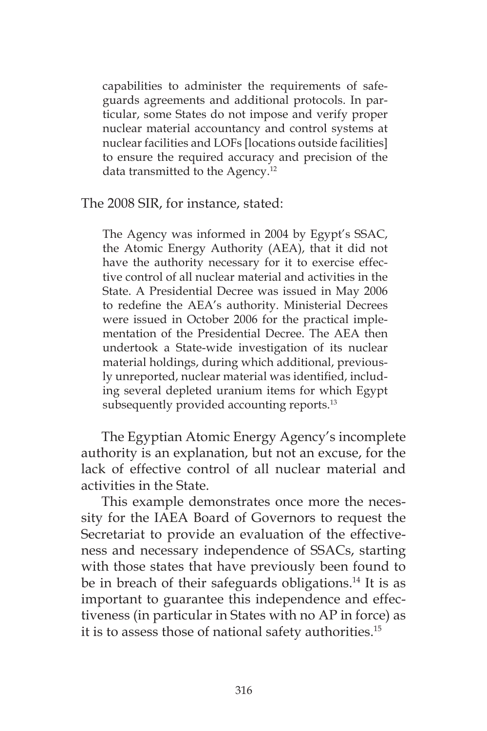capabilities to administer the requirements of safeguards agreements and additional protocols. In particular, some States do not impose and verify proper nuclear material accountancy and control systems at nuclear facilities and LOFs [locations outside facilities] to ensure the required accuracy and precision of the data transmitted to the Agency.12

The 2008 SIR, for instance, stated:

The Agency was informed in 2004 by Egypt's SSAC, the Atomic Energy Authority (AEA), that it did not have the authority necessary for it to exercise effective control of all nuclear material and activities in the State. A Presidential Decree was issued in May 2006 to redefine the AEA's authority. Ministerial Decrees were issued in October 2006 for the practical implementation of the Presidential Decree. The AEA then undertook a State-wide investigation of its nuclear material holdings, during which additional, previously unreported, nuclear material was identified, including several depleted uranium items for which Egypt subsequently provided accounting reports.<sup>13</sup>

The Egyptian Atomic Energy Agency's incomplete authority is an explanation, but not an excuse, for the lack of effective control of all nuclear material and activities in the State.

This example demonstrates once more the necessity for the IAEA Board of Governors to request the Secretariat to provide an evaluation of the effectiveness and necessary independence of SSACs, starting with those states that have previously been found to be in breach of their safeguards obligations.<sup>14</sup> It is as important to guarantee this independence and effectiveness (in particular in States with no AP in force) as it is to assess those of national safety authorities.15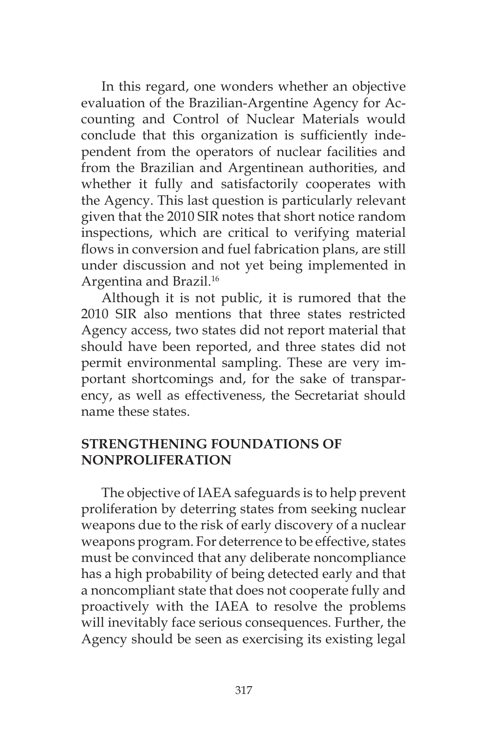In this regard, one wonders whether an objective evaluation of the Brazilian-Argentine Agency for Accounting and Control of Nuclear Materials would conclude that this organization is sufficiently independent from the operators of nuclear facilities and from the Brazilian and Argentinean authorities, and whether it fully and satisfactorily cooperates with the Agency. This last question is particularly relevant given that the 2010 SIR notes that short notice random inspections, which are critical to verifying material flows in conversion and fuel fabrication plans, are still under discussion and not yet being implemented in Argentina and Brazil.<sup>16</sup>

Although it is not public, it is rumored that the 2010 SIR also mentions that three states restricted Agency access, two states did not report material that should have been reported, and three states did not permit environmental sampling. These are very important shortcomings and, for the sake of transparency, as well as effectiveness, the Secretariat should name these states.

## **STRENGTHENING FOUNDATIONS OF NONPROLIFERATION**

The objective of IAEA safeguards is to help prevent proliferation by deterring states from seeking nuclear weapons due to the risk of early discovery of a nuclear weapons program. For deterrence to be effective, states must be convinced that any deliberate noncompliance has a high probability of being detected early and that a noncompliant state that does not cooperate fully and proactively with the IAEA to resolve the problems will inevitably face serious consequences. Further, the Agency should be seen as exercising its existing legal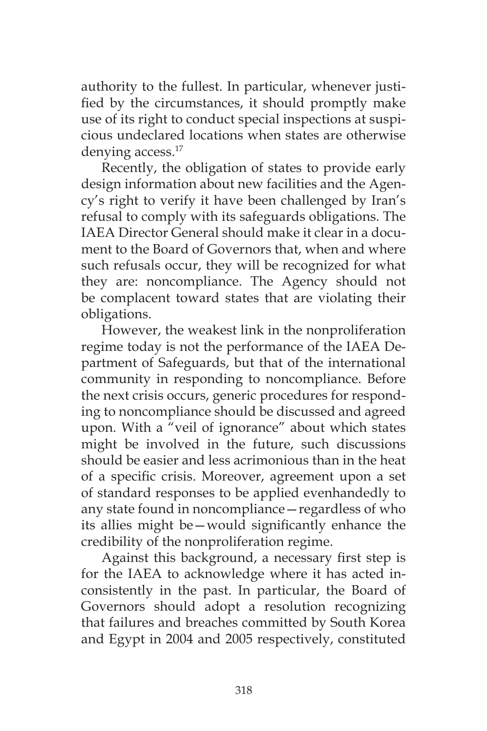authority to the fullest. In particular, whenever justified by the circumstances, it should promptly make use of its right to conduct special inspections at suspicious undeclared locations when states are otherwise denying access.<sup>17</sup>

Recently, the obligation of states to provide early design information about new facilities and the Agency's right to verify it have been challenged by Iran's refusal to comply with its safeguards obligations. The IAEA Director General should make it clear in a document to the Board of Governors that, when and where such refusals occur, they will be recognized for what they are: noncompliance. The Agency should not be complacent toward states that are violating their obligations.

However, the weakest link in the nonproliferation regime today is not the performance of the IAEA Department of Safeguards, but that of the international community in responding to noncompliance. Before the next crisis occurs, generic procedures for responding to noncompliance should be discussed and agreed upon. With a "veil of ignorance" about which states might be involved in the future, such discussions should be easier and less acrimonious than in the heat of a specific crisis. Moreover, agreement upon a set of standard responses to be applied evenhandedly to any state found in noncompliance—regardless of who its allies might be—would significantly enhance the credibility of the nonproliferation regime.

Against this background, a necessary first step is for the IAEA to acknowledge where it has acted inconsistently in the past. In particular, the Board of Governors should adopt a resolution recognizing that failures and breaches committed by South Korea and Egypt in 2004 and 2005 respectively, constituted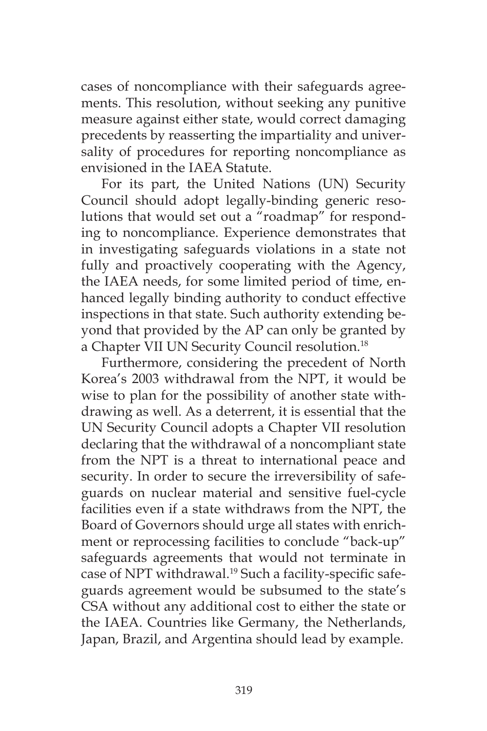cases of noncompliance with their safeguards agreements. This resolution, without seeking any punitive measure against either state, would correct damaging precedents by reasserting the impartiality and universality of procedures for reporting noncompliance as envisioned in the IAEA Statute.

For its part, the United Nations (UN) Security Council should adopt legally-binding generic resolutions that would set out a "roadmap" for responding to noncompliance. Experience demonstrates that in investigating safeguards violations in a state not fully and proactively cooperating with the Agency, the IAEA needs, for some limited period of time, enhanced legally binding authority to conduct effective inspections in that state. Such authority extending beyond that provided by the AP can only be granted by a Chapter VII UN Security Council resolution.<sup>18</sup>

Furthermore, considering the precedent of North Korea's 2003 withdrawal from the NPT, it would be wise to plan for the possibility of another state withdrawing as well. As a deterrent, it is essential that the UN Security Council adopts a Chapter VII resolution declaring that the withdrawal of a noncompliant state from the NPT is a threat to international peace and security. In order to secure the irreversibility of safeguards on nuclear material and sensitive fuel-cycle facilities even if a state withdraws from the NPT, the Board of Governors should urge all states with enrichment or reprocessing facilities to conclude "back-up" safeguards agreements that would not terminate in case of NPT withdrawal.<sup>19</sup> Such a facility-specific safeguards agreement would be subsumed to the state's CSA without any additional cost to either the state or the IAEA. Countries like Germany, the Netherlands, Japan, Brazil, and Argentina should lead by example.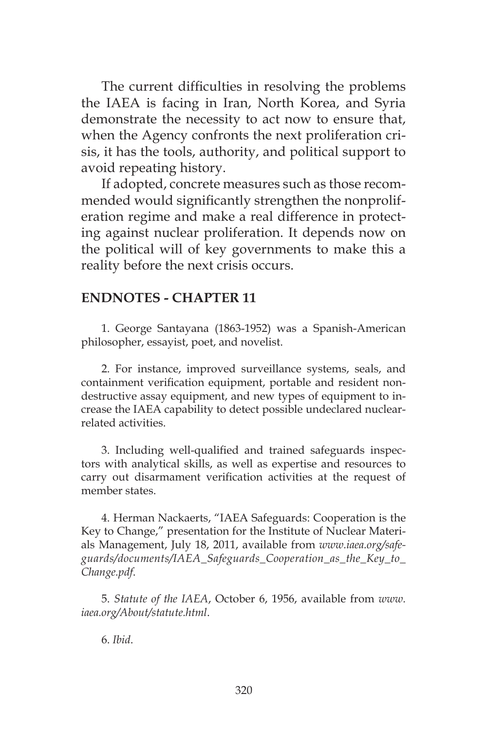The current difficulties in resolving the problems the IAEA is facing in Iran, North Korea, and Syria demonstrate the necessity to act now to ensure that, when the Agency confronts the next proliferation crisis, it has the tools, authority, and political support to avoid repeating history.

If adopted, concrete measures such as those recommended would significantly strengthen the nonproliferation regime and make a real difference in protecting against nuclear proliferation. It depends now on the political will of key governments to make this a reality before the next crisis occurs.

### **ENDNOTES - CHAPTER 11**

1. George Santayana (1863-1952) was a Spanish-American philosopher, essayist, poet, and novelist.

2. For instance, improved surveillance systems, seals, and containment verification equipment, portable and resident nondestructive assay equipment, and new types of equipment to increase the IAEA capability to detect possible undeclared nuclearrelated activities.

3. Including well-qualified and trained safeguards inspectors with analytical skills, as well as expertise and resources to carry out disarmament verification activities at the request of member states.

4. Herman Nackaerts, "IAEA Safeguards: Cooperation is the Key to Change," presentation for the Institute of Nuclear Materials Management, July 18, 2011, available from *www.iaea.org/safeguards/documents/IAEA\_Safeguards\_Cooperation\_as\_the\_Key\_to\_ Change.pdf*.

5. *Statute of the IAEA*, October 6, 1956, available from *www. iaea.org/About/statute.html*.

6. *Ibid*.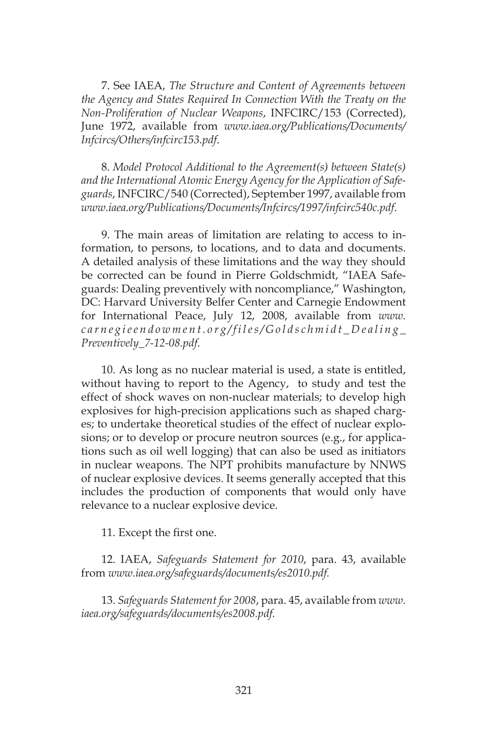7. See IAEA, *The Structure and Content of Agreements between the Agency and States Required In Connection With the Treaty on the Non-Proliferation of Nuclear Weapons*, INFCIRC/153 (Corrected), June 1972, available from *www.iaea.org/Publications/Documents/ Infcircs/Others/infcirc153.pdf*.

8. *Model Protocol Additional to the Agreement(s) between State(s) and the International Atomic Energy Agency for the Application of Safeguards*, INFCIRC/540 (Corrected), September 1997, available from *www.iaea.org/Publications/Documents/Infcircs/1997/infcirc540c.pdf*.

9. The main areas of limitation are relating to access to information, to persons, to locations, and to data and documents. A detailed analysis of these limitations and the way they should be corrected can be found in Pierre Goldschmidt, "IAEA Safeguards: Dealing preventively with noncompliance," Washington, DC: Harvard University Belfer Center and Carnegie Endowment for International Peace, July 12, 2008, available from *www. carnegieendowment.org/files/Goldschmidt\_Dealing\_ Preventively\_7-12-08.pdf*.

10. As long as no nuclear material is used, a state is entitled, without having to report to the Agency, to study and test the effect of shock waves on non-nuclear materials; to develop high explosives for high-precision applications such as shaped charges; to undertake theoretical studies of the effect of nuclear explosions; or to develop or procure neutron sources (e.g., for applications such as oil well logging) that can also be used as initiators in nuclear weapons. The NPT prohibits manufacture by NNWS of nuclear explosive devices. It seems generally accepted that this includes the production of components that would only have relevance to a nuclear explosive device.

11. Except the first one.

12. IAEA, *Safeguards Statement for 2010*, para. 43, available from *www.iaea.org/safeguards/documents/es2010.pdf.*

13. *Safeguards Statement for 2008*, para. 45, available from *www. iaea.org/safeguards/documents/es2008.pdf.*